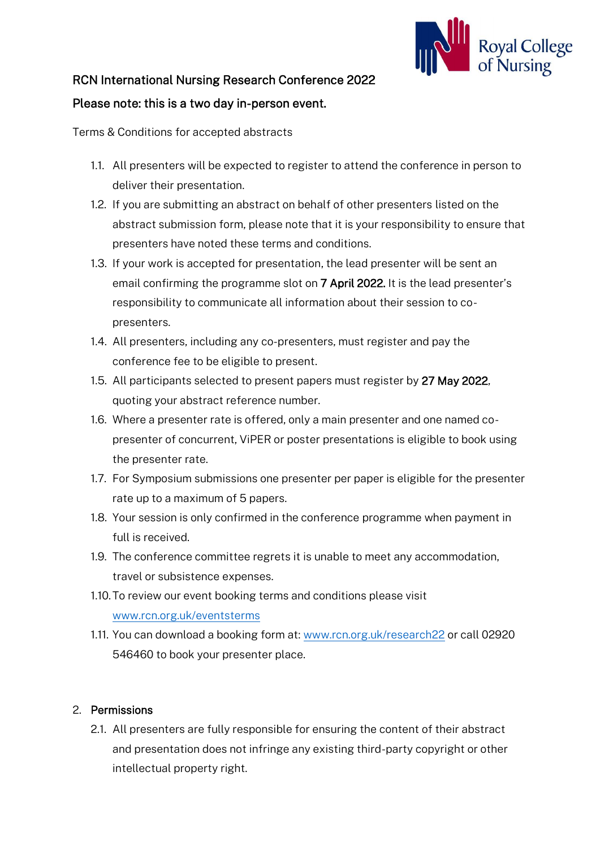

## RCN International Nursing Research Conference 2022

## Please note: this is a two day in-person event.

Terms & Conditions for accepted abstracts

- 1.1. All presenters will be expected to register to attend the conference in person to deliver their presentation.
- 1.2. If you are submitting an abstract on behalf of other presenters listed on the abstract submission form, please note that it is your responsibility to ensure that presenters have noted these terms and conditions.
- 1.3. If your work is accepted for presentation, the lead presenter will be sent an email confirming the programme slot on 7 April 2022. It is the lead presenter's responsibility to communicate all information about their session to copresenters.
- 1.4. All presenters, including any co-presenters, must register and pay the conference fee to be eligible to present.
- 1.5. All participants selected to present papers must register by 27 May 2022, quoting your abstract reference number.
- 1.6. Where a presenter rate is offered, only a main presenter and one named copresenter of concurrent, ViPER or poster presentations is eligible to book using the presenter rate.
- 1.7. For Symposium submissions one presenter per paper is eligible for the presenter rate up to a maximum of 5 papers.
- 1.8. Your session is only confirmed in the conference programme when payment in full is received.
- 1.9. The conference committee regrets it is unable to meet any accommodation, travel or subsistence expenses.
- 1.10.To review our event booking terms and conditions please visit [www.rcn.org.uk/eventsterms](http://www.rcn.org.uk/eventsterms)
- 1.11. You can download a booking form at: [www.rcn.org.uk/research22](http://www.rcn.org.uk/research22) or call 02920 546460 to book your presenter place.

## 2. Permissions

2.1. All presenters are fully responsible for ensuring the content of their abstract and presentation does not infringe any existing third-party copyright or other intellectual property right.